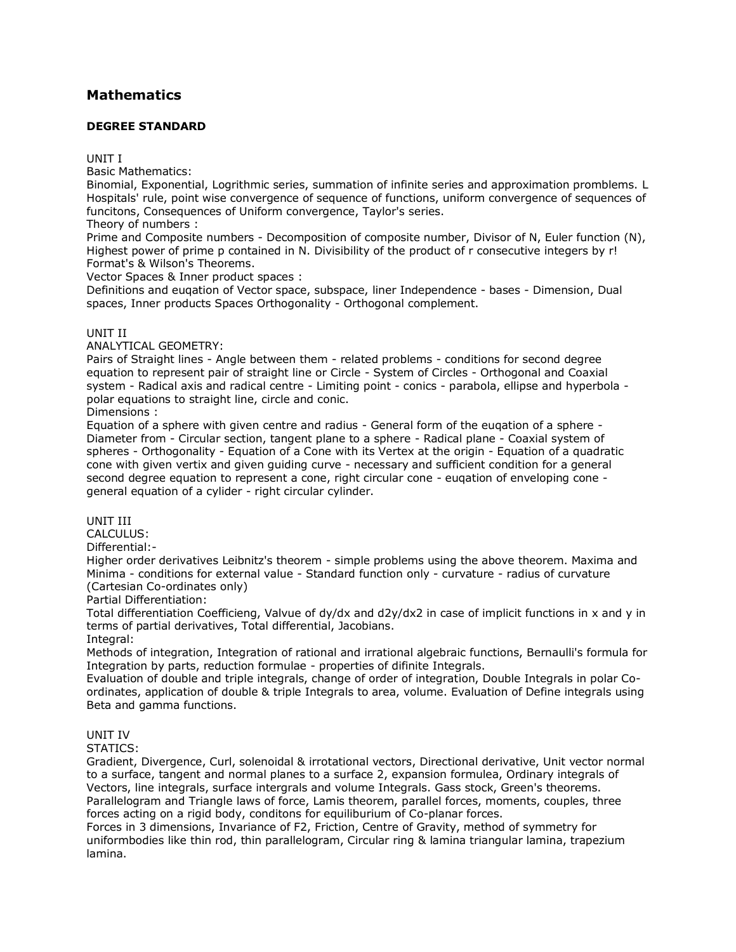# **[Mathematics](http://www.tnpsc.gov.in/Mathematicsde.html)**

# **DEGREE STANDARD**

UNIT I

Basic Mathematics:

Binomial, Exponential, Logrithmic series, summation of infinite series and approximation promblems. L Hospitals' rule, point wise convergence of sequence of functions, uniform convergence of sequences of funcitons, Consequences of Uniform convergence, Taylor's series.

Theory of numbers :

Prime and Composite numbers - Decomposition of composite number, Divisor of N, Euler function (N), Highest power of prime p contained in N. Divisibility of the product of r consecutive integers by r! Format's & Wilson's Theorems.

Vector Spaces & Inner product spaces :

Definitions and euqation of Vector space, subspace, liner Independence - bases - Dimension, Dual spaces, Inner products Spaces Orthogonality - Orthogonal complement.

## UNIT II

ANALYTICAL GEOMETRY:

Pairs of Straight lines - Angle between them - related problems - conditions for second degree equation to represent pair of straight line or Circle - System of Circles - Orthogonal and Coaxial system - Radical axis and radical centre - Limiting point - conics - parabola, ellipse and hyperbola polar equations to straight line, circle and conic.

Dimensions :

Equation of a sphere with given centre and radius - General form of the euqation of a sphere - Diameter from - Circular section, tangent plane to a sphere - Radical plane - Coaxial system of spheres - Orthogonality - Equation of a Cone with its Vertex at the origin - Equation of a quadratic cone with given vertix and given guiding curve - necessary and sufficient condition for a general second degree equation to represent a cone, right circular cone - euqation of enveloping cone general equation of a cylider - right circular cylinder.

## UNIT III

CALCULUS:

# Differential:-

Higher order derivatives Leibnitz's theorem - simple problems using the above theorem. Maxima and Minima - conditions for external value - Standard function only - curvature - radius of curvature (Cartesian Co-ordinates only)

#### Partial Differentiation:

Total differentiation Coefficieng, Valvue of dy/dx and d2y/dx2 in case of implicit functions in x and y in terms of partial derivatives, Total differential, Jacobians. Integral:

Methods of integration, Integration of rational and irrational algebraic functions, Bernaulli's formula for Integration by parts, reduction formulae - properties of difinite Integrals.

Evaluation of double and triple integrals, change of order of integration, Double Integrals in polar Coordinates, application of double & triple Integrals to area, volume. Evaluation of Define integrals using Beta and gamma functions.

## UNIT IV

STATICS:

Gradient, Divergence, Curl, solenoidal & irrotational vectors, Directional derivative, Unit vector normal to a surface, tangent and normal planes to a surface 2, expansion formulea, Ordinary integrals of Vectors, line integrals, surface intergrals and volume Integrals. Gass stock, Green's theorems. Parallelogram and Triangle laws of force, Lamis theorem, parallel forces, moments, couples, three forces acting on a rigid body, conditons for equiliburium of Co-planar forces.

Forces in 3 dimensions, Invariance of F2, Friction, Centre of Gravity, method of symmetry for uniformbodies like thin rod, thin parallelogram, Circular ring & lamina triangular lamina, trapezium lamina.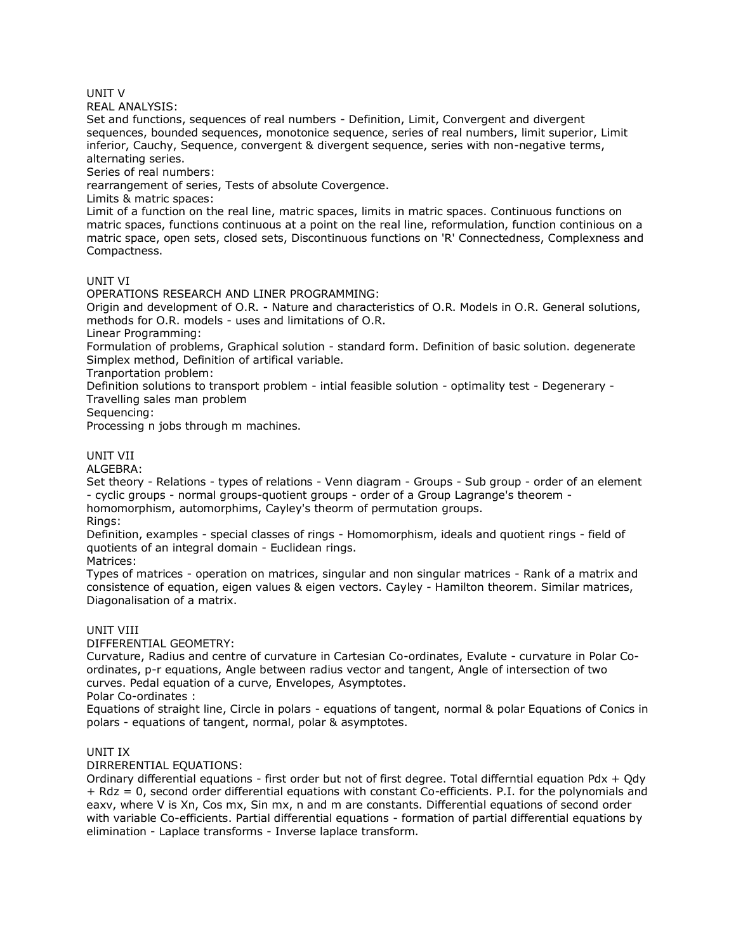UNIT V

REAL ANALYSIS:

Set and functions, sequences of real numbers - Definition, Limit, Convergent and divergent sequences, bounded sequences, monotonice sequence, series of real numbers, limit superior, Limit inferior, Cauchy, Sequence, convergent & divergent sequence, series with non-negative terms, alternating series.

Series of real numbers:

rearrangement of series, Tests of absolute Covergence.

Limits & matric spaces:

Limit of a function on the real line, matric spaces, limits in matric spaces. Continuous functions on matric spaces, functions continuous at a point on the real line, reformulation, function continious on a matric space, open sets, closed sets, Discontinuous functions on 'R' Connectedness, Complexness and Compactness.

### UNIT VI

OPERATIONS RESEARCH AND LINER PROGRAMMING:

Origin and development of O.R. - Nature and characteristics of O.R. Models in O.R. General solutions, methods for O.R. models - uses and limitations of O.R.

Linear Programming:

Formulation of problems, Graphical solution - standard form. Definition of basic solution. degenerate Simplex method, Definition of artifical variable.

Tranportation problem:

Definition solutions to transport problem - intial feasible solution - optimality test - Degenerary - Travelling sales man problem

Sequencing:

Processing n jobs through m machines.

## UNIT VII

ALGEBRA:

Set theory - Relations - types of relations - Venn diagram - Groups - Sub group - order of an element - cyclic groups - normal groups-quotient groups - order of a Group Lagrange's theorem homomorphism, automorphims, Cayley's theorm of permutation groups.

Rings:

Definition, examples - special classes of rings - Homomorphism, ideals and quotient rings - field of quotients of an integral domain - Euclidean rings.

Matrices:

Types of matrices - operation on matrices, singular and non singular matrices - Rank of a matrix and consistence of equation, eigen values & eigen vectors. Cayley - Hamilton theorem. Similar matrices, Diagonalisation of a matrix.

#### UNIT VIII

DIFFERENTIAL GEOMETRY:

Curvature, Radius and centre of curvature in Cartesian Co-ordinates, Evalute - curvature in Polar Coordinates, p-r equations, Angle between radius vector and tangent, Angle of intersection of two curves. Pedal equation of a curve, Envelopes, Asymptotes.

Polar Co-ordinates :

Equations of straight line, Circle in polars - equations of tangent, normal & polar Equations of Conics in polars - equations of tangent, normal, polar & asymptotes.

#### UNIT IX

DIRRERENTIAL EQUATIONS:

Ordinary differential equations - first order but not of first degree. Total differntial equation Pdx + Qdy + Rdz = 0, second order differential equations with constant Co-efficients. P.I. for the polynomials and eaxv, where V is Xn, Cos mx, Sin mx, n and m are constants. Differential equations of second order with variable Co-efficients. Partial differential equations - formation of partial differential equations by elimination - Laplace transforms - Inverse laplace transform.